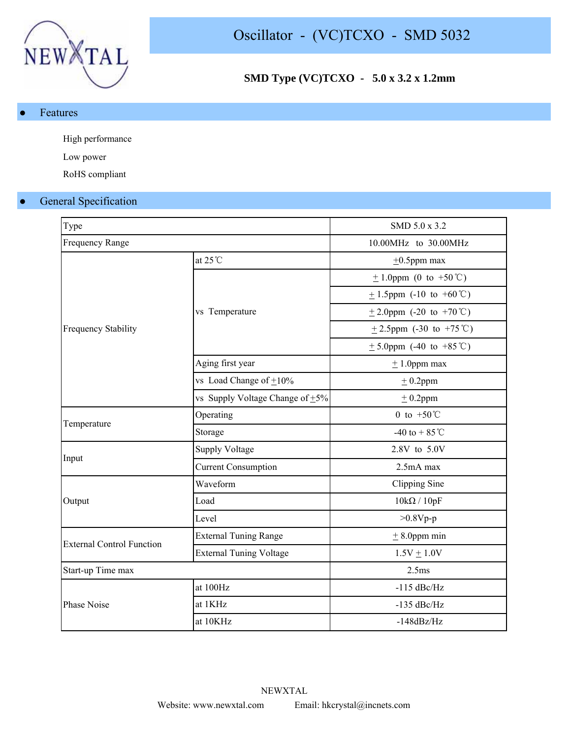

# **SMD Type (VC)TCXO - 5.0 x 3.2 x 1.2mm**

● Features

High performance

Low power

RoHS compliant

# **General Specification**

| Type                             |                                      | SMD 5.0 x 3.2                |  |  |  |
|----------------------------------|--------------------------------------|------------------------------|--|--|--|
| <b>Frequency Range</b>           |                                      | 10.00MHz to 30.00MHz         |  |  |  |
|                                  | at $25^{\circ}$ C                    | $\pm 0.5$ ppm max            |  |  |  |
|                                  |                                      | $\pm$ 1.0ppm (0 to +50 °C)   |  |  |  |
|                                  |                                      | $\pm$ 1.5ppm (-10 to +60°C)  |  |  |  |
|                                  | vs Temperature                       | $\pm$ 2.0ppm (-20 to +70 °C) |  |  |  |
| <b>Frequency Stability</b>       |                                      | $\pm$ 2.5ppm (-30 to +75 °C) |  |  |  |
|                                  |                                      | $\pm$ 5.0ppm (-40 to +85 °C) |  |  |  |
|                                  | Aging first year                     | $\pm$ 1.0ppm max             |  |  |  |
|                                  | vs Load Change of $\pm 10\%$         | $±$ 0.2ppm                   |  |  |  |
|                                  | vs Supply Voltage Change of $\pm$ 5% | $± 0.2$ ppm                  |  |  |  |
|                                  | Operating                            | 0 to $+50^{\circ}$ C         |  |  |  |
| Temperature                      | Storage                              | -40 to + 85 °C               |  |  |  |
|                                  | <b>Supply Voltage</b>                | 2.8V to 5.0V                 |  |  |  |
| Input                            | <b>Current Consumption</b>           | 2.5mA max                    |  |  |  |
|                                  | Waveform                             | Clipping Sine                |  |  |  |
| Output                           | Load                                 | $10k\Omega / 10pF$           |  |  |  |
|                                  | Level                                | $>0.8Vp-p$                   |  |  |  |
|                                  | <b>External Tuning Range</b>         | $±$ 8.0ppm min               |  |  |  |
| <b>External Control Function</b> | <b>External Tuning Voltage</b>       | $1.5V + 1.0V$                |  |  |  |
| Start-up Time max                |                                      | 2.5 <sub>ms</sub>            |  |  |  |
|                                  | at 100Hz                             | $-115$ dBc/Hz                |  |  |  |
| Phase Noise                      | at 1KHz                              | $-135$ dBc/Hz                |  |  |  |
|                                  | at 10KHz                             | $-148dBz/Hz$                 |  |  |  |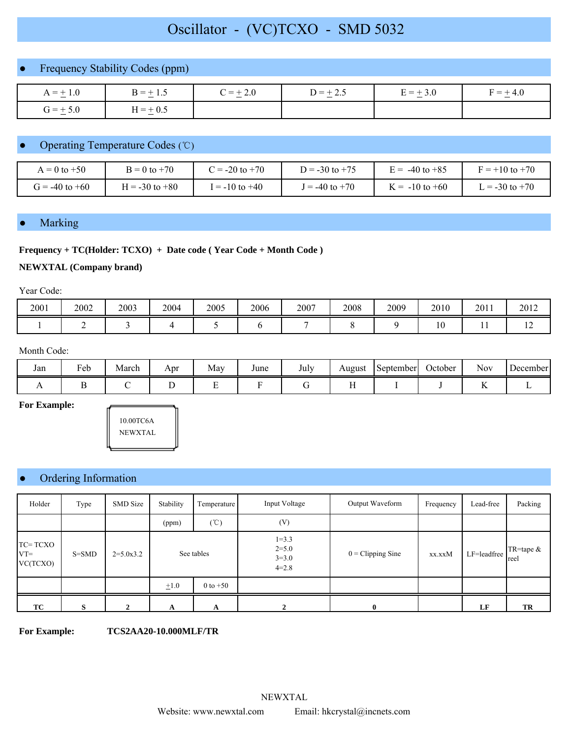# Oscillator - (VC)TCXO - SMD 5032

## Frequency Stability Codes (ppm)

| $A = +1.0$<br>— <del>—</del> | $B = \pm 1.5$ | $C = +2.0$ | $D = +2.5$<br>— — — — | $E = +3.0$ | $+4.0$<br>$F =$ |
|------------------------------|---------------|------------|-----------------------|------------|-----------------|
| $G = +5.0$<br>$\sim$         | $H = \pm 0.5$ |            |                       |            |                 |

## Operating Temperature Codes (℃)

| $= 0$ to $+50$     | $B = 0$ to $+70$   | $t = -20$ to $+70$ | $D = -30$ to $+75$ | $E = -40$ to $+85$   | $F = +10$ to $+70$ |
|--------------------|--------------------|--------------------|--------------------|----------------------|--------------------|
| $G = -40$ to $+60$ | $I = -30$ to $+80$ | $= -10$ to $+40$   | $I = -40$ to $+70$ | $\zeta = -10$ to +60 | $t = -30$ to $+70$ |

## **Marking**

#### **Frequency + TC(Holder: TCXO) + Date code ( Year Code + Month Code )**

#### **NEWXTAL (Company brand)**

Year Code:

| 2001 | 2002 | 2003 | 2004 | 2005 | 2006 | 2007 | 2008 | 2009 | 2010                | 2011 | 2012                     |
|------|------|------|------|------|------|------|------|------|---------------------|------|--------------------------|
|      |      |      |      |      |      |      |      |      | $\cap$<br>1 V<br>__ | . .  | $\overline{\phantom{0}}$ |

#### Month Code:

| Jan | $\mathbf{r}$<br>Feb | $\mathbf{r}$<br>March | Apr | May | June | July | August | September | October | $\sim$ $\sim$<br><b>Nov</b> | December |
|-----|---------------------|-----------------------|-----|-----|------|------|--------|-----------|---------|-----------------------------|----------|
|     |                     |                       |     |     |      |      |        |           |         |                             |          |

**For Example:**



## ● Ordering Information

| Holder                        | Type      | <b>SMD</b> Size | Stability                 | Temperature     | Input Voltage                                | Output Waveform            | Frequency | Lead-free   | Packing             |
|-------------------------------|-----------|-----------------|---------------------------|-----------------|----------------------------------------------|----------------------------|-----------|-------------|---------------------|
|                               |           |                 | (ppm)                     | $(^{\circ}\!C)$ | (V)                                          |                            |           |             |                     |
| TC=TCXO<br>$VT =$<br>VC(TCXO) | $S = SMD$ | $2=5.0x3.2$     | See tables                |                 | $1=3.3$<br>$2 = 5.0$<br>$3 = 3.0$<br>$4=2.8$ | $0 = \text{Clipping Sine}$ | xx.xxM    | LF=leadfree | TR=tape $&$<br>reel |
|                               |           |                 | $\pm 1.0$<br>$0$ to $+50$ |                 |                                              |                            |           |             |                     |
| ТC                            | S         | 2               | A                         | A               |                                              | $\bf{0}$                   |           | LF          | TR                  |

**For Example: TCS2AA20-10.000MLF/TR**